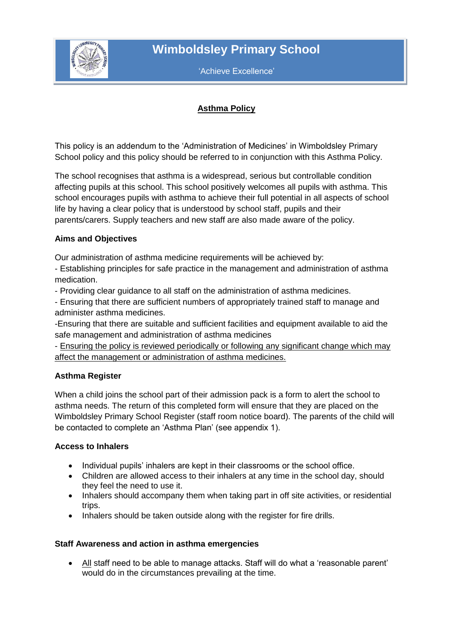

'Achieve Excellence'

# **Asthma Policy**

This policy is an addendum to the 'Administration of Medicines' in Wimboldsley Primary School policy and this policy should be referred to in conjunction with this Asthma Policy.

The school recognises that asthma is a widespread, serious but controllable condition affecting pupils at this school. This school positively welcomes all pupils with asthma. This school encourages pupils with asthma to achieve their full potential in all aspects of school life by having a clear policy that is understood by school staff, pupils and their parents/carers. Supply teachers and new staff are also made aware of the policy.

## **Aims and Objectives**

Our administration of asthma medicine requirements will be achieved by:

- Establishing principles for safe practice in the management and administration of asthma medication.

- Providing clear guidance to all staff on the administration of asthma medicines.

- Ensuring that there are sufficient numbers of appropriately trained staff to manage and administer asthma medicines.

-Ensuring that there are suitable and sufficient facilities and equipment available to aid the safe management and administration of asthma medicines

- Ensuring the policy is reviewed periodically or following any significant change which may affect the management or administration of asthma medicines.

## **Asthma Register**

When a child joins the school part of their admission pack is a form to alert the school to asthma needs. The return of this completed form will ensure that they are placed on the Wimboldsley Primary School Register (staff room notice board). The parents of the child will be contacted to complete an 'Asthma Plan' (see appendix 1).

#### **Access to Inhalers**

- Individual pupils' inhalers are kept in their classrooms or the school office.
- Children are allowed access to their inhalers at any time in the school day, should they feel the need to use it.
- Inhalers should accompany them when taking part in off site activities, or residential trips.
- Inhalers should be taken outside along with the register for fire drills.

#### **Staff Awareness and action in asthma emergencies**

 All staff need to be able to manage attacks. Staff will do what a 'reasonable parent' would do in the circumstances prevailing at the time.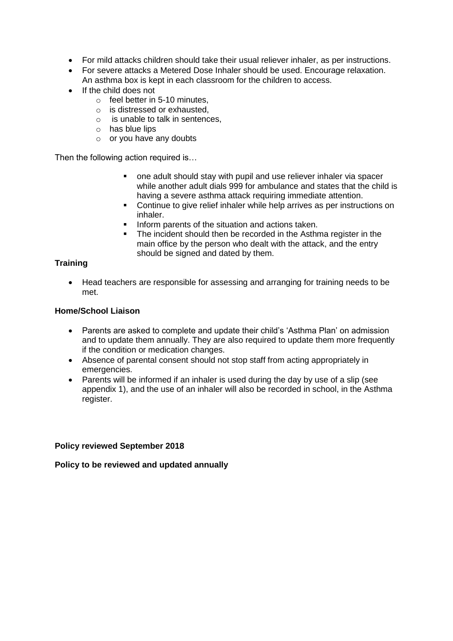- For mild attacks children should take their usual reliever inhaler, as per instructions.
- For severe attacks a Metered Dose Inhaler should be used. Encourage relaxation. An asthma box is kept in each classroom for the children to access.
- If the child does not
	- $\circ$  feel better in 5-10 minutes.
	- o is distressed or exhausted,
	- o is unable to talk in sentences,
	- o has blue lips
	- o or you have any doubts

Then the following action required is...

- one adult should stay with pupil and use reliever inhaler via spacer while another adult dials 999 for ambulance and states that the child is having a severe asthma attack requiring immediate attention.
- Continue to give relief inhaler while help arrives as per instructions on inhaler.
- Inform parents of the situation and actions taken.
- The incident should then be recorded in the Asthma register in the main office by the person who dealt with the attack, and the entry should be signed and dated by them.

### **Training**

 Head teachers are responsible for assessing and arranging for training needs to be met.

#### **Home/School Liaison**

- Parents are asked to complete and update their child's 'Asthma Plan' on admission and to update them annually. They are also required to update them more frequently if the condition or medication changes.
- Absence of parental consent should not stop staff from acting appropriately in emergencies.
- Parents will be informed if an inhaler is used during the day by use of a slip (see appendix 1), and the use of an inhaler will also be recorded in school, in the Asthma register.

#### **Policy reviewed September 2018**

#### **Policy to be reviewed and updated annually**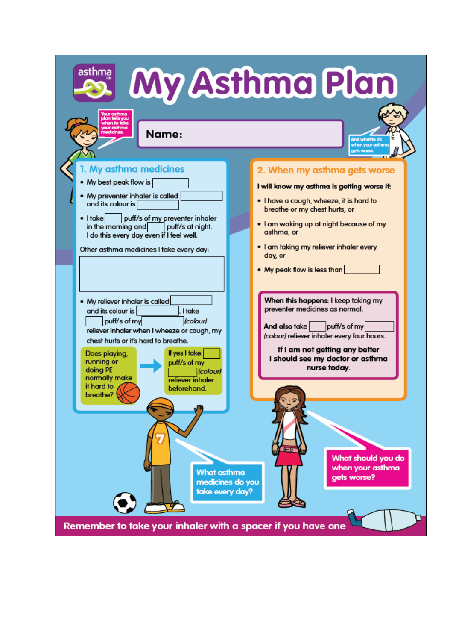